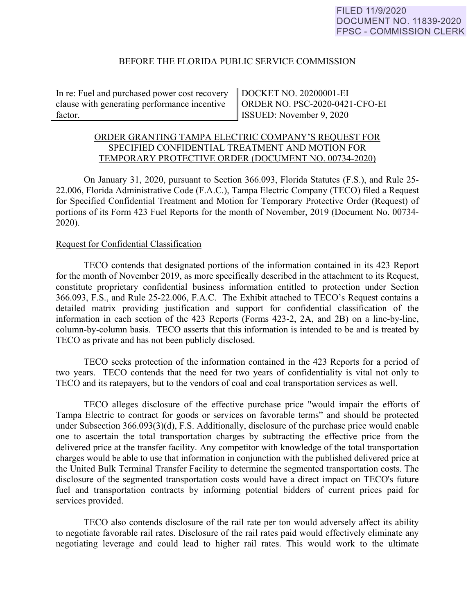## BEFORE THE FLORIDA PUBLIC SERVICE COMMISSION

In re: Fuel and purchased power cost recovery clause with generating performance incentive factor.

DOCKET NO. 20200001-EI ORDER NO. PSC-2020-0421-CFO-EI ISSUED: November 9, 2020

## ORDER GRANTING TAMPA ELECTRIC COMPANY'S REQUEST FOR SPECIFIED CONFIDENTIAL TREATMENT AND MOTION FOR TEMPORARY PROTECTIVE ORDER (DOCUMENT NO. 00734-2020)

On January 31, 2020, pursuant to Section 366.093, Florida Statutes (F.S.), and Rule 25- 22.006, Florida Administrative Code (F.A.C.), Tampa Electric Company (TECO) filed a Request for Specified Confidential Treatment and Motion for Temporary Protective Order (Request) of portions of its Form 423 Fuel Reports for the month of November, 2019 (Document No. 00734- 2020).

## Request for Confidential Classification

TECO contends that designated portions of the information contained in its 423 Report for the month of November 2019, as more specifically described in the attachment to its Request, constitute proprietary confidential business information entitled to protection under Section 366.093, F.S., and Rule 25-22.006, F.A.C. The Exhibit attached to TECO's Request contains a detailed matrix providing justification and support for confidential classification of the information in each section of the 423 Reports (Forms 423-2, 2A, and 2B) on a line-by-line, column-by-column basis. TECO asserts that this information is intended to be and is treated by TECO as private and has not been publicly disclosed.

TECO seeks protection of the information contained in the 423 Reports for a period of two years. TECO contends that the need for two years of confidentiality is vital not only to TECO and its ratepayers, but to the vendors of coal and coal transportation services as well.

TECO alleges disclosure of the effective purchase price "would impair the efforts of Tampa Electric to contract for goods or services on favorable terms" and should be protected under Subsection 366.093(3)(d), F.S. Additionally, disclosure of the purchase price would enable one to ascertain the total transportation charges by subtracting the effective price from the delivered price at the transfer facility. Any competitor with knowledge of the total transportation charges would be able to use that information in conjunction with the published delivered price at the United Bulk Terminal Transfer Facility to determine the segmented transportation costs. The disclosure of the segmented transportation costs would have a direct impact on TECO's future fuel and transportation contracts by informing potential bidders of current prices paid for services provided.

TECO also contends disclosure of the rail rate per ton would adversely affect its ability to negotiate favorable rail rates. Disclosure of the rail rates paid would effectively eliminate any negotiating leverage and could lead to higher rail rates. This would work to the ultimate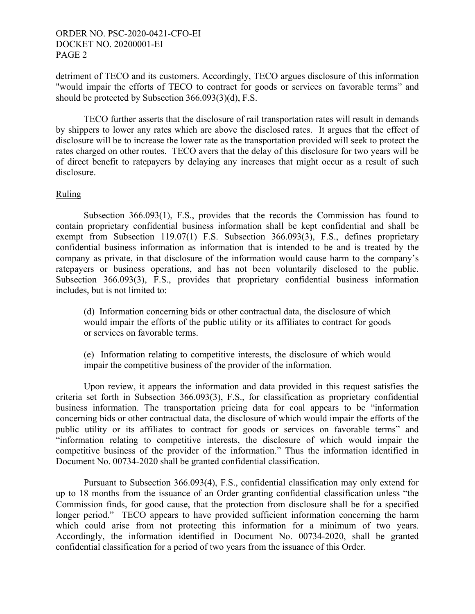## ORDER NO. PSC-2020-0421-CFO-EI DOCKET NO. 20200001-EI PAGE 2

detriment of TECO and its customers. Accordingly, TECO argues disclosure of this information "would impair the efforts of TECO to contract for goods or services on favorable terms" and should be protected by Subsection 366.093(3)(d), F.S.

TECO further asserts that the disclosure of rail transportation rates will result in demands by shippers to lower any rates which are above the disclosed rates. It argues that the effect of disclosure will be to increase the lower rate as the transportation provided will seek to protect the rates charged on other routes. TECO avers that the delay of this disclosure for two years will be of direct benefit to ratepayers by delaying any increases that might occur as a result of such disclosure.

# Ruling

Subsection 366.093(1), F.S., provides that the records the Commission has found to contain proprietary confidential business information shall be kept confidential and shall be exempt from Subsection 119.07(1) F.S. Subsection 366.093(3), F.S., defines proprietary confidential business information as information that is intended to be and is treated by the company as private, in that disclosure of the information would cause harm to the company's ratepayers or business operations, and has not been voluntarily disclosed to the public. Subsection 366.093(3), F.S., provides that proprietary confidential business information includes, but is not limited to:

(d) Information concerning bids or other contractual data, the disclosure of which would impair the efforts of the public utility or its affiliates to contract for goods or services on favorable terms.

(e) Information relating to competitive interests, the disclosure of which would impair the competitive business of the provider of the information.

 Upon review, it appears the information and data provided in this request satisfies the criteria set forth in Subsection 366.093(3), F.S., for classification as proprietary confidential business information. The transportation pricing data for coal appears to be "information concerning bids or other contractual data, the disclosure of which would impair the efforts of the public utility or its affiliates to contract for goods or services on favorable terms" and "information relating to competitive interests, the disclosure of which would impair the competitive business of the provider of the information." Thus the information identified in Document No. 00734-2020 shall be granted confidential classification.

 Pursuant to Subsection 366.093(4), F.S., confidential classification may only extend for up to 18 months from the issuance of an Order granting confidential classification unless "the Commission finds, for good cause, that the protection from disclosure shall be for a specified longer period." TECO appears to have provided sufficient information concerning the harm which could arise from not protecting this information for a minimum of two years. Accordingly, the information identified in Document No. 00734-2020, shall be granted confidential classification for a period of two years from the issuance of this Order.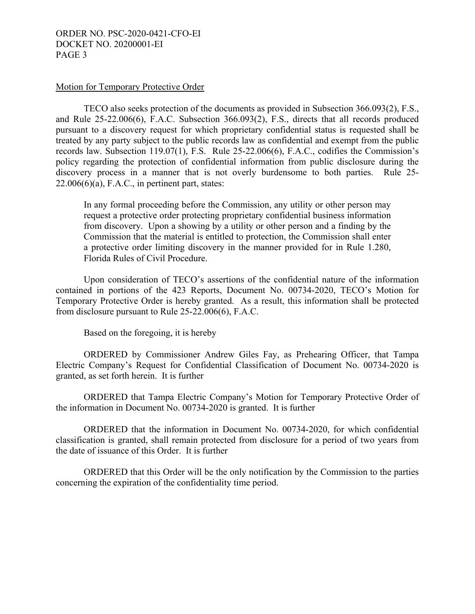## ORDER NO. PSC-2020-0421-CFO-EI DOCKET NO. 20200001-EI PAGE 3

### Motion for Temporary Protective Order

TECO also seeks protection of the documents as provided in Subsection 366.093(2), F.S., and Rule 25-22.006(6), F.A.C. Subsection 366.093(2), F.S., directs that all records produced pursuant to a discovery request for which proprietary confidential status is requested shall be treated by any party subject to the public records law as confidential and exempt from the public records law. Subsection 119.07(1), F.S. Rule 25-22.006(6), F.A.C., codifies the Commission's policy regarding the protection of confidential information from public disclosure during the discovery process in a manner that is not overly burdensome to both parties. Rule 25-  $22.006(6)(a)$ , F.A.C., in pertinent part, states:

In any formal proceeding before the Commission, any utility or other person may request a protective order protecting proprietary confidential business information from discovery. Upon a showing by a utility or other person and a finding by the Commission that the material is entitled to protection, the Commission shall enter a protective order limiting discovery in the manner provided for in Rule 1.280, Florida Rules of Civil Procedure.

 Upon consideration of TECO's assertions of the confidential nature of the information contained in portions of the 423 Reports, Document No. 00734-2020, TECO's Motion for Temporary Protective Order is hereby granted. As a result, this information shall be protected from disclosure pursuant to Rule 25-22.006(6), F.A.C.

Based on the foregoing, it is hereby

 ORDERED by Commissioner Andrew Giles Fay, as Prehearing Officer, that Tampa Electric Company's Request for Confidential Classification of Document No. 00734-2020 is granted, as set forth herein. It is further

ORDERED that Tampa Electric Company's Motion for Temporary Protective Order of the information in Document No. 00734-2020 is granted. It is further

ORDERED that the information in Document No. 00734-2020, for which confidential classification is granted, shall remain protected from disclosure for a period of two years from the date of issuance of this Order. It is further

 ORDERED that this Order will be the only notification by the Commission to the parties concerning the expiration of the confidentiality time period.